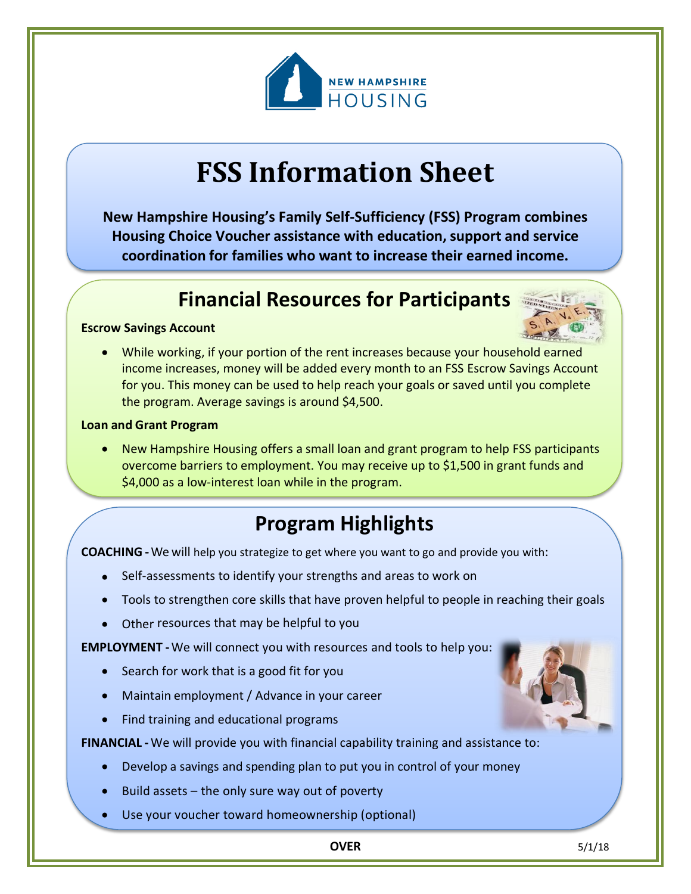

# **FSS Information Sheet**

**New Hampshire Housing's Family Self-Sufficiency (FSS) Program combines Housing Choice Voucher assistance with education, support and service coordination for families who want to increase their earned income.**

### **Financial Resources for Participants**

#### **Escrow Savings Account**



• While working, if your portion of the rent increases because your household earned income increases, money will be added every month to an FSS Escrow Savings Account for you. This money can be used to help reach your goals or saved until you complete the program. Average savings is around \$4,500.

#### **Loan and Grant Program**

• New Hampshire Housing offers a small loan and grant program to help FSS participants overcome barriers to employment. You may receive up to \$1,500 in grant funds and \$4,000 as a low-interest loan while in the program.

## **Program Highlights**

**COACHING -**We will help you strategize to get where you want to go and provide you with:

- Self-assessments to identify your strengths and areas to work on
- Tools to strengthen core skills that have proven helpful to people in reaching their goals
- Other resources that may be helpful to you

**EMPLOYMENT -**We will connect you with resources and tools to help you:

- Search for work that is a good fit for you
- Maintain employment / Advance in your career
- Find training and educational programs

**FINANCIAL -** We will provide you with financial capability training and assistance to:

- Develop a savings and spending plan to put you in control of your money
- Build assets  $-$  the only sure way out of poverty
- Use your voucher toward homeownership (optional)



**OVER** 5/1/18